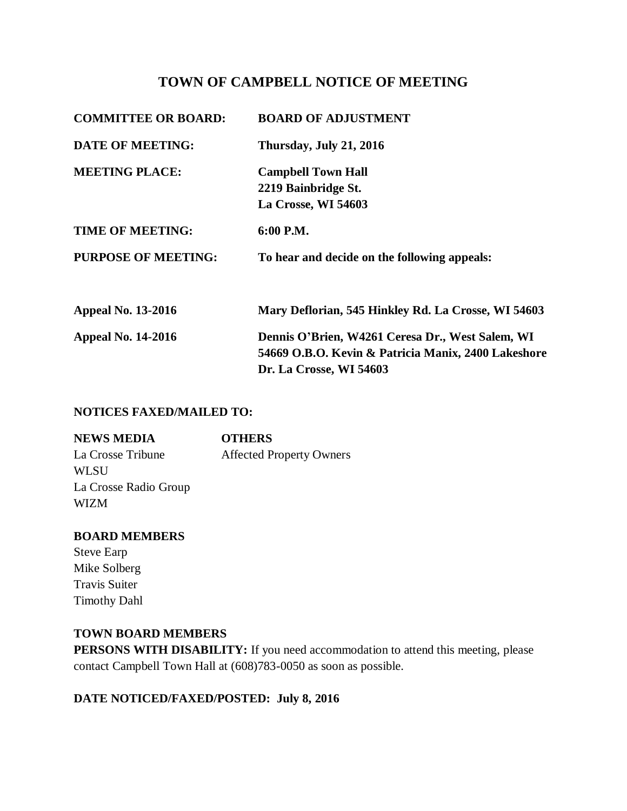# **TOWN OF CAMPBELL NOTICE OF MEETING**

| <b>COMMITTEE OR BOARD:</b> | <b>BOARD OF ADJUSTMENT</b>                                                                                                         |
|----------------------------|------------------------------------------------------------------------------------------------------------------------------------|
| <b>DATE OF MEETING:</b>    | Thursday, July 21, 2016                                                                                                            |
| <b>MEETING PLACE:</b>      | <b>Campbell Town Hall</b><br>2219 Bainbridge St.<br>La Crosse, WI 54603                                                            |
| <b>TIME OF MEETING:</b>    | 6:00 P.M.                                                                                                                          |
| <b>PURPOSE OF MEETING:</b> | To hear and decide on the following appeals:                                                                                       |
| <b>Appeal No. 13-2016</b>  | Mary Deflorian, 545 Hinkley Rd. La Crosse, WI 54603                                                                                |
| <b>Appeal No. 14-2016</b>  | Dennis O'Brien, W4261 Ceresa Dr., West Salem, WI<br>54669 O.B.O. Kevin & Patricia Manix, 2400 Lakeshore<br>Dr. La Crosse, WI 54603 |

### **NOTICES FAXED/MAILED TO:**

| <b>NEWS MEDIA</b>     | <b>OTHERS</b>                   |
|-----------------------|---------------------------------|
| La Crosse Tribune     | <b>Affected Property Owners</b> |
| WLSU                  |                                 |
| La Crosse Radio Group |                                 |
| <b>WIZM</b>           |                                 |

#### **BOARD MEMBERS**

Steve Earp Mike Solberg Travis Suiter Timothy Dahl

#### **TOWN BOARD MEMBERS**

**PERSONS WITH DISABILITY:** If you need accommodation to attend this meeting, please contact Campbell Town Hall at (608)783-0050 as soon as possible.

### **DATE NOTICED/FAXED/POSTED: July 8, 2016**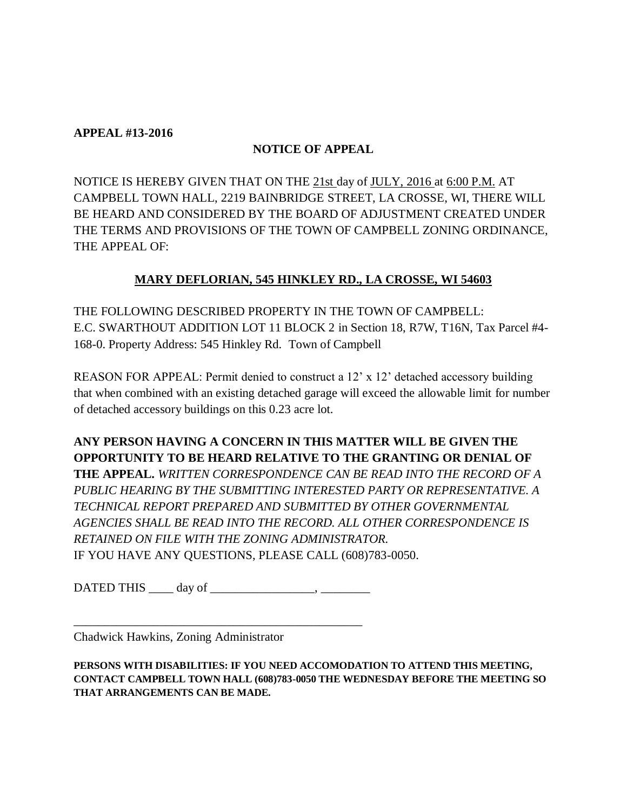#### **APPEAL #13-2016**

### **NOTICE OF APPEAL**

NOTICE IS HEREBY GIVEN THAT ON THE 21st day of JULY, 2016 at 6:00 P.M. AT CAMPBELL TOWN HALL, 2219 BAINBRIDGE STREET, LA CROSSE, WI, THERE WILL BE HEARD AND CONSIDERED BY THE BOARD OF ADJUSTMENT CREATED UNDER THE TERMS AND PROVISIONS OF THE TOWN OF CAMPBELL ZONING ORDINANCE, THE APPEAL OF:

### **MARY DEFLORIAN, 545 HINKLEY RD., LA CROSSE, WI 54603**

THE FOLLOWING DESCRIBED PROPERTY IN THE TOWN OF CAMPBELL: E.C. SWARTHOUT ADDITION LOT 11 BLOCK 2 in Section 18, R7W, T16N, Tax Parcel #4- 168-0. Property Address: 545 Hinkley Rd. Town of Campbell

REASON FOR APPEAL: Permit denied to construct a 12' x 12' detached accessory building that when combined with an existing detached garage will exceed the allowable limit for number of detached accessory buildings on this 0.23 acre lot.

**ANY PERSON HAVING A CONCERN IN THIS MATTER WILL BE GIVEN THE OPPORTUNITY TO BE HEARD RELATIVE TO THE GRANTING OR DENIAL OF THE APPEAL.** *WRITTEN CORRESPONDENCE CAN BE READ INTO THE RECORD OF A PUBLIC HEARING BY THE SUBMITTING INTERESTED PARTY OR REPRESENTATIVE. A TECHNICAL REPORT PREPARED AND SUBMITTED BY OTHER GOVERNMENTAL AGENCIES SHALL BE READ INTO THE RECORD. ALL OTHER CORRESPONDENCE IS RETAINED ON FILE WITH THE ZONING ADMINISTRATOR.*  IF YOU HAVE ANY QUESTIONS, PLEASE CALL (608)783-0050.

DATED THIS \_\_\_\_ day of \_\_\_\_\_\_\_\_\_\_\_\_\_\_\_\_\_, \_\_\_\_\_\_\_\_

\_\_\_\_\_\_\_\_\_\_\_\_\_\_\_\_\_\_\_\_\_\_\_\_\_\_\_\_\_\_\_\_\_\_\_\_\_\_\_\_\_\_\_\_\_\_\_

Chadwick Hawkins, Zoning Administrator

**PERSONS WITH DISABILITIES: IF YOU NEED ACCOMODATION TO ATTEND THIS MEETING, CONTACT CAMPBELL TOWN HALL (608)783-0050 THE WEDNESDAY BEFORE THE MEETING SO THAT ARRANGEMENTS CAN BE MADE.**